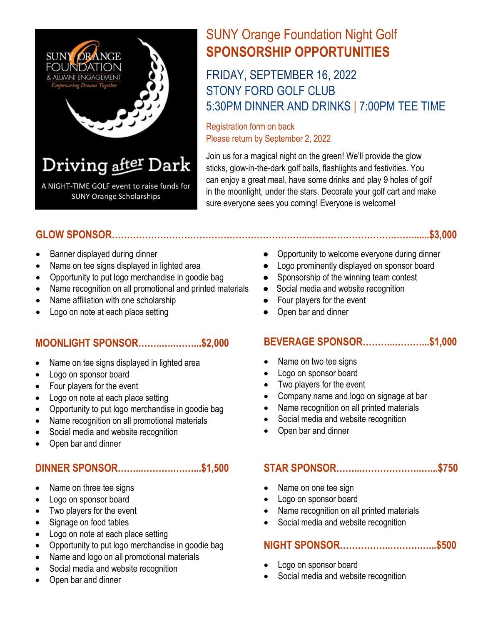

# SUNY Orange Foundation Night Golf **SPONSORSHIP OPPORTUNITIES**

# FRIDAY, SEPTEMBER 16, 2022 STONY FORD GOLF CLUB 5:30PM DINNER AND DRINKS | 7:00PM TEE TIME

Registration form on back Please return by September 2, 2022

Join us for a magical night on the green! We'll provide the glow sticks, glow-in-the-dark golf balls, flashlights and festivities. You can enjoy a great meal, have some drinks and play 9 holes of golf in the moonlight, under the stars. Decorate your golf cart and make sure everyone sees you coming! Everyone is welcome!

### **GLOW SPONSOR………………………………………………………...……………………….…….......\$3,000**

- 
- 
- Opportunity to put logo merchandise in goodie bag Sponsorship of the winning team contest
- Name recognition on all promotional and printed materials Social media and website recognition
- Name affiliation with one scholarship <br>• Four players for the event
- Logo on note at each place setting entity of the Copen bar and dinner

#### **MOONLIGHT SPONSOR……..…..……...\$2,000**

- Name on tee signs displayed in lighted area
- Logo on sponsor board
- Four players for the event
- Logo on note at each place setting
- Opportunity to put logo merchandise in goodie bag
- Name recognition on all promotional materials
- Social media and website recognition
- Open bar and dinner

### **DINNER SPONSOR……...……….….…...\$1,500**

- Name on three tee signs
- Logo on sponsor board
- Two players for the event
- Signage on food tables
- Logo on note at each place setting
- Opportunity to put logo merchandise in goodie bag
- Name and logo on all promotional materials
- Social media and website recognition
- Open bar and dinner
- Banner displayed during dinner exercise and a subset of Opportunity to welcome everyone during dinner
- Name on tee signs displayed in lighted area <br>● Logo prominently displayed on sponsor board
	-
	-
	-
	-

### **BEVERAGE SPONSOR………..………...\$1,000**

- Name on two tee signs
- Logo on sponsor board
- Two players for the event
- Company name and logo on signage at bar
- Name recognition on all printed materials
- Social media and website recognition
- Open bar and dinner

### **STAR SPONSOR……...………………..…...\$750**

- Name on one tee sign
- Logo on sponsor board
- Name recognition on all printed materials
- Social media and website recognition

### **NIGHT SPONSOR……………..……….…...\$500**

- Logo on sponsor board
- Social media and website recognition